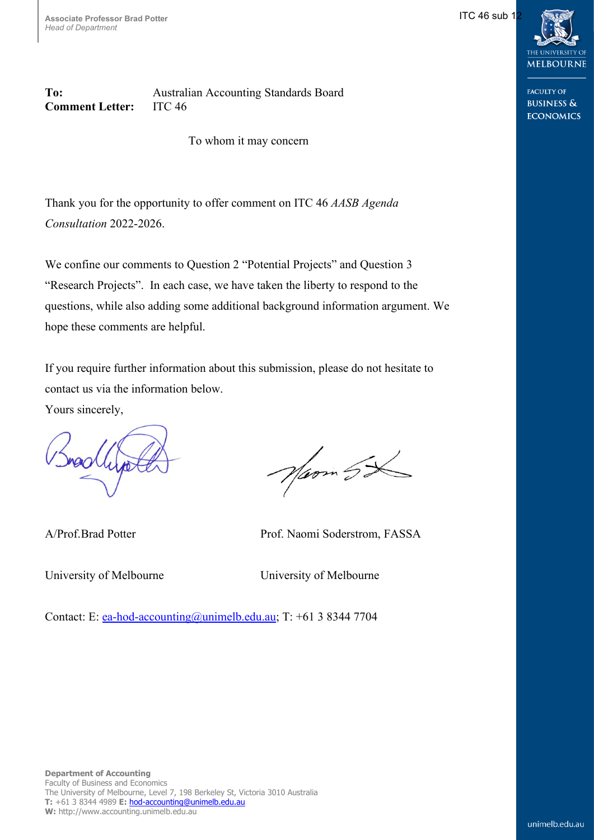$IC$  46 sub 1



**FACULTY OF BUSINESS & ECONOMICS** 

**To:** Australian Accounting Standards Board **Comment Letter:** ITC 46

To whom it may concern

Thank you for the opportunity to offer comment on ITC 46 *AASB Agenda Consultation* 2022-2026.

We confine our comments to Question 2 "Potential Projects" and Question 3 "Research Projects". In each case, we have taken the liberty to respond to the questions, while also adding some additional background information argument. We hope these comments are helpful.

If you require further information about this submission, please do not hesitate to contact us via the information below.

Yours sincerely,

Naom 5X

A/Prof.Brad Potter Prof. Naomi Soderstrom, FASSA

University of Melbourne University of Melbourne

Contact: E: [ea-hod-accounting@unimelb.edu.au;](mailto:ea-hod-accounting@unimelb.edu.au) T: +61 3 8344 7704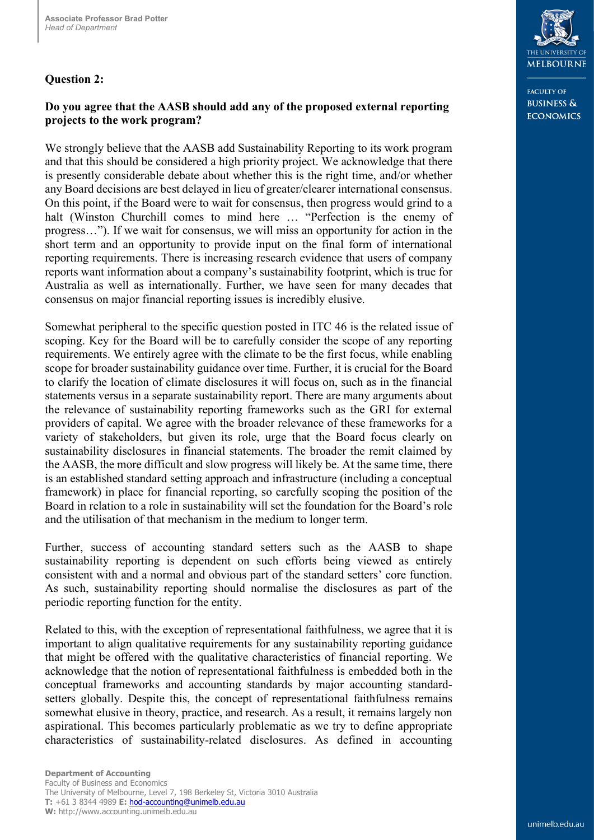## **Question 2:**

## **Do you agree that the AASB should add any of the proposed external reporting projects to the work program?**

We strongly believe that the AASB add Sustainability Reporting to its work program and that this should be considered a high priority project. We acknowledge that there is presently considerable debate about whether this is the right time, and/or whether any Board decisions are best delayed in lieu of greater/clearer international consensus. On this point, if the Board were to wait for consensus, then progress would grind to a halt (Winston Churchill comes to mind here … "Perfection is the enemy of progress…"). If we wait for consensus, we will miss an opportunity for action in the short term and an opportunity to provide input on the final form of international reporting requirements. There is increasing research evidence that users of company reports want information about a company's sustainability footprint, which is true for Australia as well as internationally. Further, we have seen for many decades that consensus on major financial reporting issues is incredibly elusive.

Somewhat peripheral to the specific question posted in ITC 46 is the related issue of scoping. Key for the Board will be to carefully consider the scope of any reporting requirements. We entirely agree with the climate to be the first focus, while enabling scope for broader sustainability guidance over time. Further, it is crucial for the Board to clarify the location of climate disclosures it will focus on, such as in the financial statements versus in a separate sustainability report. There are many arguments about the relevance of sustainability reporting frameworks such as the GRI for external providers of capital. We agree with the broader relevance of these frameworks for a variety of stakeholders, but given its role, urge that the Board focus clearly on sustainability disclosures in financial statements. The broader the remit claimed by the AASB, the more difficult and slow progress will likely be. At the same time, there is an established standard setting approach and infrastructure (including a conceptual framework) in place for financial reporting, so carefully scoping the position of the Board in relation to a role in sustainability will set the foundation for the Board's role and the utilisation of that mechanism in the medium to longer term.

Further, success of accounting standard setters such as the AASB to shape sustainability reporting is dependent on such efforts being viewed as entirely consistent with and a normal and obvious part of the standard setters' core function. As such, sustainability reporting should normalise the disclosures as part of the periodic reporting function for the entity.

Related to this, with the exception of representational faithfulness, we agree that it is important to align qualitative requirements for any sustainability reporting guidance that might be offered with the qualitative characteristics of financial reporting. We acknowledge that the notion of representational faithfulness is embedded both in the conceptual frameworks and accounting standards by major accounting standardsetters globally. Despite this, the concept of representational faithfulness remains somewhat elusive in theory, practice, and research. As a result, it remains largely non aspirational. This becomes particularly problematic as we try to define appropriate characteristics of sustainability-related disclosures. As defined in accounting



**FACULTY OF BUSINESS & ECONOMICS**